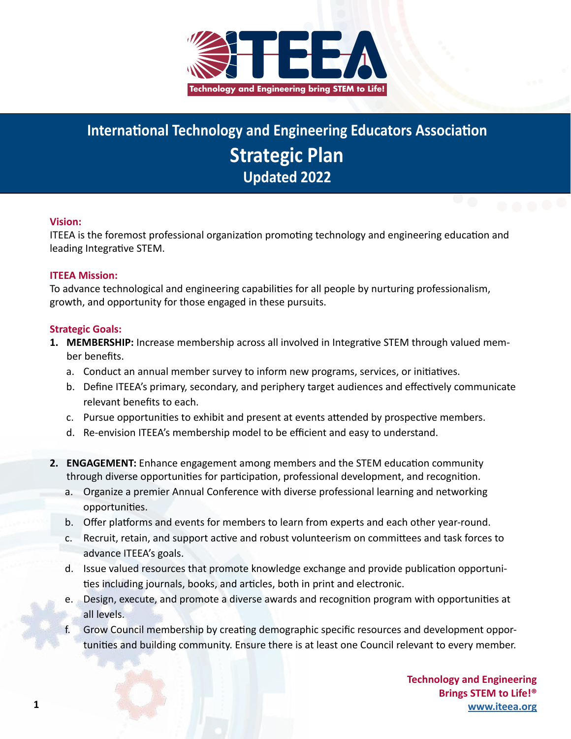

## **International Technology and Engineering Educators Association Strategic Plan Updated 2022**

**iteea.org**

## **Vision:**

ITEEA is the foremost professional organization promoting technology and engineering education and leading Integrative STEM.

## **ITEEA Mission:**

To advance technological and engineering capabilities for all people by nurturing professionalism, growth, and opportunity for those engaged in these pursuits.

## **Strategic Goals:**

- **1. MEMBERSHIP:** Increase membership across all involved in Integrative STEM through valued member benefits.
	- a. Conduct an annual member survey to inform new programs, services, or initiatives.
	- b. Define ITEEA's primary, secondary, and periphery target audiences and effectively communicate relevant benefits to each.
	- c. Pursue opportunities to exhibit and present at events attended by prospective members.
	- d. Re-envision ITEEA's membership model to be efficient and easy to understand.
- **2. ENGAGEMENT:** Enhance engagement among members and the STEM education community through diverse opportunities for participation, professional development, and recognition.
	- a. Organize a premier Annual Conference with diverse professional learning and networking opportunities.
	- b. Offer platforms and events for members to learn from experts and each other year-round.
	- c. Recruit, retain, and support active and robust volunteerism on committees and task forces to advance ITEEA's goals.
	- d. Issue valued resources that promote knowledge exchange and provide publication opportunities including journals, books, and articles, both in print and electronic.
	- e. Design, execute, and promote a diverse awards and recognition program with opportunities at all levels.
	- Grow Council membership by creating demographic specific resources and development opportunities and building community. Ensure there is at least one Council relevant to every member.